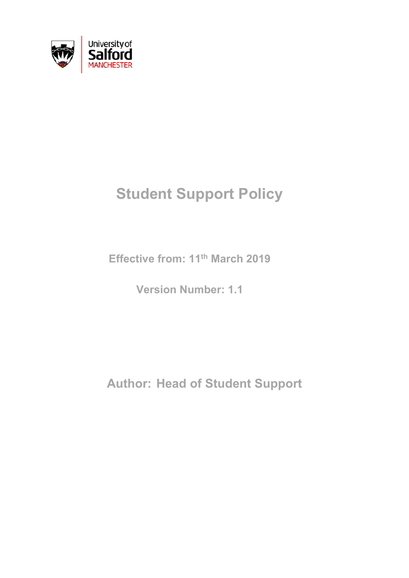

# **Student Support Policy**

**Effective from: 11th March 2019**

**Version Number: 1.1**

**Author: Head of Student Support**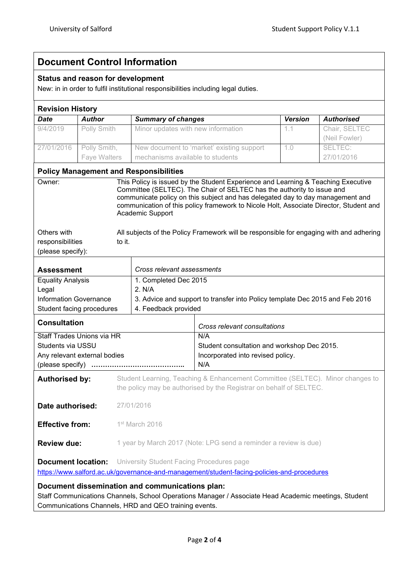# **Document Control Information**

## **Status and reason for development**

New: in in order to fulfil institutional responsibilities including legal duties.

| <b>Revision History</b>                                                                                                                                                                                                                                                                                                                                                                                                                                                         |                           |                                                                                                                                                     |                                                                                                      |                |                   |  |
|---------------------------------------------------------------------------------------------------------------------------------------------------------------------------------------------------------------------------------------------------------------------------------------------------------------------------------------------------------------------------------------------------------------------------------------------------------------------------------|---------------------------|-----------------------------------------------------------------------------------------------------------------------------------------------------|------------------------------------------------------------------------------------------------------|----------------|-------------------|--|
| <b>Date</b>                                                                                                                                                                                                                                                                                                                                                                                                                                                                     | <b>Author</b>             | <b>Summary of changes</b>                                                                                                                           |                                                                                                      | <b>Version</b> | <b>Authorised</b> |  |
| 9/4/2019                                                                                                                                                                                                                                                                                                                                                                                                                                                                        | Polly Smith               | Minor updates with new information                                                                                                                  |                                                                                                      | 1.1            | Chair, SELTEC     |  |
|                                                                                                                                                                                                                                                                                                                                                                                                                                                                                 |                           |                                                                                                                                                     |                                                                                                      |                | (Neil Fowler)     |  |
| 27/01/2016                                                                                                                                                                                                                                                                                                                                                                                                                                                                      | Polly Smith,              |                                                                                                                                                     | New document to 'market' existing support                                                            | 1.0            | SELTEC:           |  |
|                                                                                                                                                                                                                                                                                                                                                                                                                                                                                 | Faye Walters              | mechanisms available to students                                                                                                                    |                                                                                                      |                | 27/01/2016        |  |
| <b>Policy Management and Responsibilities</b>                                                                                                                                                                                                                                                                                                                                                                                                                                   |                           |                                                                                                                                                     |                                                                                                      |                |                   |  |
| This Policy is issued by the Student Experience and Learning & Teaching Executive<br>Owner:<br>Committee (SELTEC). The Chair of SELTEC has the authority to issue and<br>communicate policy on this subject and has delegated day to day management and<br>communication of this policy framework to Nicole Holt, Associate Director, Student and<br>Academic Support<br>Others with<br>All subjects of the Policy Framework will be responsible for engaging with and adhering |                           |                                                                                                                                                     |                                                                                                      |                |                   |  |
| to it.<br>responsibilities                                                                                                                                                                                                                                                                                                                                                                                                                                                      |                           |                                                                                                                                                     |                                                                                                      |                |                   |  |
| (please specify):                                                                                                                                                                                                                                                                                                                                                                                                                                                               |                           |                                                                                                                                                     |                                                                                                      |                |                   |  |
| <b>Assessment</b>                                                                                                                                                                                                                                                                                                                                                                                                                                                               |                           | Cross relevant assessments                                                                                                                          |                                                                                                      |                |                   |  |
| <b>Equality Analysis</b>                                                                                                                                                                                                                                                                                                                                                                                                                                                        |                           | 1. Completed Dec 2015                                                                                                                               |                                                                                                      |                |                   |  |
| Legal                                                                                                                                                                                                                                                                                                                                                                                                                                                                           |                           | 2. N/A                                                                                                                                              |                                                                                                      |                |                   |  |
| <b>Information Governance</b>                                                                                                                                                                                                                                                                                                                                                                                                                                                   |                           | 3. Advice and support to transfer into Policy template Dec 2015 and Feb 2016                                                                        |                                                                                                      |                |                   |  |
|                                                                                                                                                                                                                                                                                                                                                                                                                                                                                 | Student facing procedures |                                                                                                                                                     | 4. Feedback provided                                                                                 |                |                   |  |
| <b>Consultation</b>                                                                                                                                                                                                                                                                                                                                                                                                                                                             |                           |                                                                                                                                                     | Cross relevant consultations                                                                         |                |                   |  |
| Staff Trades Unions via HR<br>Students via USSU<br>Any relevant external bodies<br>(please specify)                                                                                                                                                                                                                                                                                                                                                                             |                           |                                                                                                                                                     | N/A<br>Student consultation and workshop Dec 2015.<br>Incorporated into revised policy.<br>N/A       |                |                   |  |
| <b>Authorised by:</b>                                                                                                                                                                                                                                                                                                                                                                                                                                                           |                           | Student Learning, Teaching & Enhancement Committee (SELTEC). Minor changes to<br>the policy may be authorised by the Registrar on behalf of SELTEC. |                                                                                                      |                |                   |  |
| Date authorised:<br>27/01/2016                                                                                                                                                                                                                                                                                                                                                                                                                                                  |                           |                                                                                                                                                     |                                                                                                      |                |                   |  |
| <b>Effective from:</b><br>1 <sup>st</sup> March 2016                                                                                                                                                                                                                                                                                                                                                                                                                            |                           |                                                                                                                                                     |                                                                                                      |                |                   |  |
| <b>Review due:</b>                                                                                                                                                                                                                                                                                                                                                                                                                                                              |                           | 1 year by March 2017 (Note: LPG send a reminder a review is due)                                                                                    |                                                                                                      |                |                   |  |
| University Student Facing Procedures page<br><b>Document location:</b><br>https://www.salford.ac.uk/governance-and-management/student-facing-policies-and-procedures                                                                                                                                                                                                                                                                                                            |                           |                                                                                                                                                     |                                                                                                      |                |                   |  |
|                                                                                                                                                                                                                                                                                                                                                                                                                                                                                 |                           | Document dissemination and communications plan:                                                                                                     | Staff Communications Channels, School Operations Manager / Associate Head Academic meetings, Student |                |                   |  |

Communications Channels, HRD and QEO training events.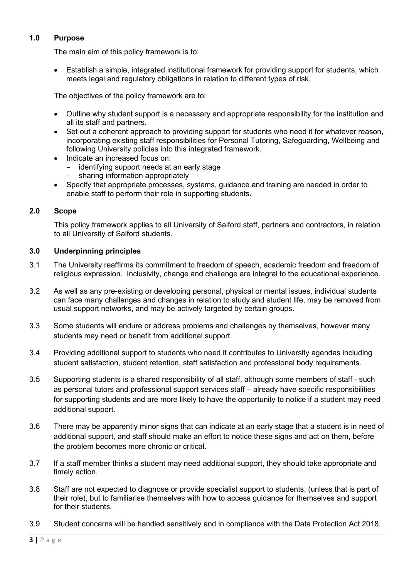# **1.0 Purpose**

The main aim of this policy framework is to:

• Establish a simple, integrated institutional framework for providing support for students, which meets legal and regulatory obligations in relation to different types of risk.

The objectives of the policy framework are to:

- Outline why student support is a necessary and appropriate responsibility for the institution and all its staff and partners.
- Set out a coherent approach to providing support for students who need it for whatever reason, incorporating existing staff responsibilities for Personal Tutoring, Safeguarding, Wellbeing and following University policies into this integrated framework.
- Indicate an increased focus on:
	- identifying support needs at an early stage<br>- sharing information appropriately
	- sharing information appropriately
- Specify that appropriate processes, systems, guidance and training are needed in order to enable staff to perform their role in supporting students.

# **2.0 Scope**

This policy framework applies to all University of Salford staff, partners and contractors, in relation to all University of Salford students.

### **3.0 Underpinning principles**

- 3.1 The University reaffirms its commitment to freedom of speech, academic freedom and freedom of religious expression. Inclusivity, change and challenge are integral to the educational experience.
- 3.2 As well as any pre-existing or developing personal, physical or mental issues, individual students can face many challenges and changes in relation to study and student life, may be removed from usual support networks, and may be actively targeted by certain groups.
- 3.3 Some students will endure or address problems and challenges by themselves, however many students may need or benefit from additional support.
- 3.4 Providing additional support to students who need it contributes to University agendas including student satisfaction, student retention, staff satisfaction and professional body requirements.
- 3.5 Supporting students is a shared responsibility of all staff, although some members of staff such as personal tutors and professional support services staff – already have specific responsibilities for supporting students and are more likely to have the opportunity to notice if a student may need additional support.
- 3.6 There may be apparently minor signs that can indicate at an early stage that a student is in need of additional support, and staff should make an effort to notice these signs and act on them, before the problem becomes more chronic or critical.
- 3.7 If a staff member thinks a student may need additional support, they should take appropriate and timely action.
- 3.8 Staff are not expected to diagnose or provide specialist support to students, (unless that is part of their role), but to familiarise themselves with how to access guidance for themselves and support for their students.
- 3.9 Student concerns will be handled sensitively and in compliance with the Data Protection Act 2018.